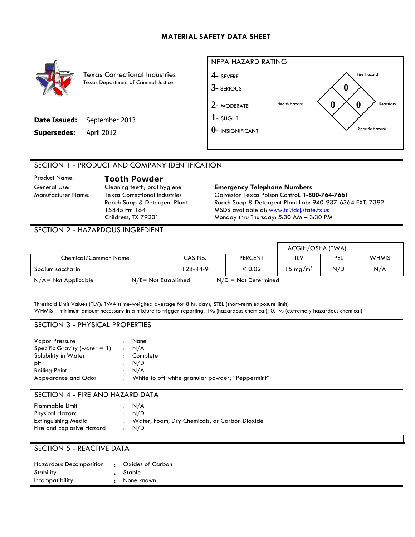# **MATERIAL SAFETY DATA SHEET**



Texas Correctional Industries Texas Department of Criminal Justice

| <b>Date Issued:</b> September 2013 |
|------------------------------------|
|                                    |



# SECTION 1 - PRODUCT AND COMPANY IDENTIFICATION

Product Name: **Tooth Powder**

Manufacturer Name: Texas Correctional Industries Roach Soap & Detergent Plant 15845 Fm 164 Childress, TX 79201

#### General Use: Cleaning teeth; oral hygiene **Emergency Telephone Numbers** Galveston Texas Poison Control: **1-800-764-7661** Roach Soap & Detergent Plant Lab: 940-937-6364 EXT. 7392 MSDS available at: [www.tci.tdcj.state.tx.us](http://www.tci.tdcj.state.tx.us/) Monday thru Thursday: 5:30 AM – 3:30 PM

SECTION 2 - HAZARDOUS INGREDIENT

|                      |                         |                        | ACGIH/OSHA (TWA)    |            |              |
|----------------------|-------------------------|------------------------|---------------------|------------|--------------|
| Chemical/Common Name | CAS No.                 | <b>PERCENT</b>         | TLV                 | <b>PEL</b> | <b>WHMIS</b> |
| Sodium saccharin     | 128-44-9                | < 0.02                 | $15 \text{ mg/m}^3$ | N/D        | N/A          |
| N/A= Not Applicable  | $N/E = Not$ Established | $N/D = Not$ Determined |                     |            |              |

Threshold Limit Values (TLV): TWA (time-weighed average for 8 hr. day); STEL (short-term exposure limit) WHMIS – minimum amount necessary in a mixture to trigger reporting: 1% (hazardous chemical); 0.1% (extremely hazardous chemical)

### SECTION 3 - PHYSICAL PROPERTIES

| <b>Vapor Pressure</b><br>Specific Gravity (water $= 1$ )<br>Solubility in Water<br>$\ddot{\phantom{a}}$<br>рH<br><b>Boiling Point</b><br>Appearance and Odor | None<br>: N/A<br>Complete<br>: N/D<br>: N/A<br>: White to off white granular powder; "Peppermint" |
|--------------------------------------------------------------------------------------------------------------------------------------------------------------|---------------------------------------------------------------------------------------------------|
|--------------------------------------------------------------------------------------------------------------------------------------------------------------|---------------------------------------------------------------------------------------------------|

#### SECTION 4 - FIRE AND HAZARD DATA

| Flammable Limit           | $\cdot$ N/A                                     |
|---------------------------|-------------------------------------------------|
| Physical Hazard           | $\cdot$ N/D                                     |
| Extinguishing Media       | : Water, Foam, Dry Chemicals, or Carbon Dioxide |
| Fire and Explosive Hazard | $\cdot$ N/D                                     |

# SECTION 5 - REACTIVE DATA

| <b>Hazardous Decomposition</b> | $\bullet$ . | Oxides of Carbon |
|--------------------------------|-------------|------------------|
| Stability                      |             | : Stable         |
| Incompatibility                |             | : None known     |